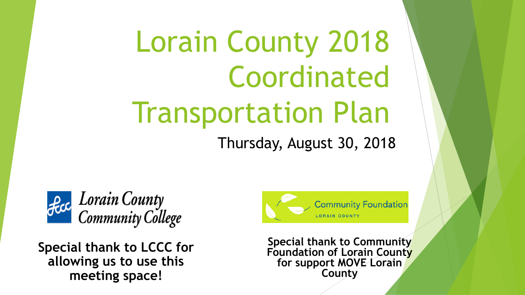# Lorain County 2018 Coordinated Transportation Plan

Thursday, August 30, 2018



**Special thank to LCCC for allowing us to use this meeting space!**



**Special thank to Community Foundation of Lorain County for support MOVE Lorain County**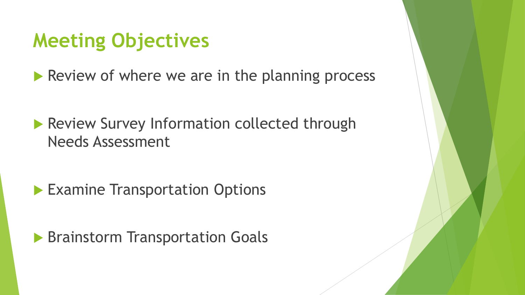#### **Meeting Objectives**

Review of where we are in the planning process

**Review Survey Information collected through** Needs Assessment

**Examine Transportation Options** 

**Brainstorm Transportation Goals**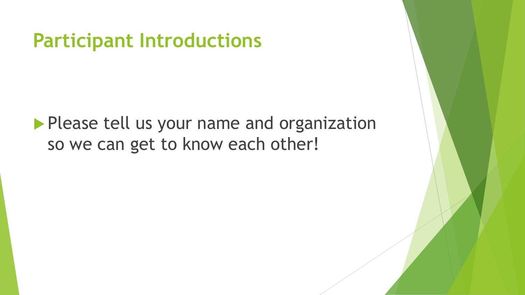**Participant Introductions**

**Please tell us your name and organization** so we can get to know each other!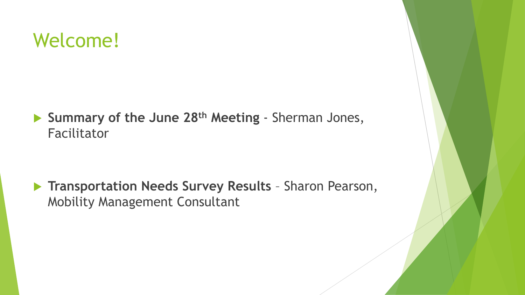#### Welcome!

 **Summary of the June 28th Meeting** - Sherman Jones, Facilitator

 **Transportation Needs Survey Results** – Sharon Pearson, Mobility Management Consultant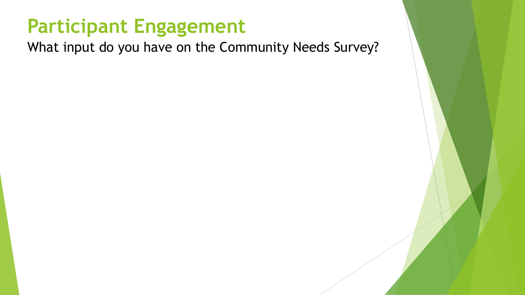### **Participant Engagement**

What input do you have on the Community Needs Survey?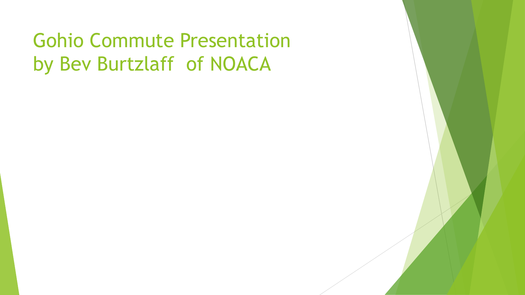# Gohio Commute Presentation by Bev Burtzlaff of NOACA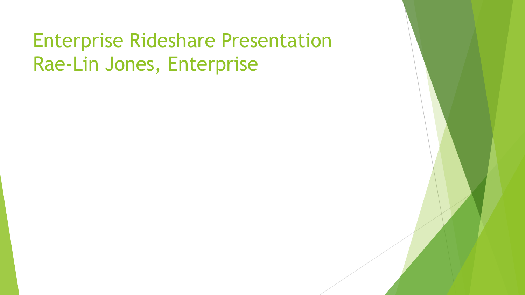# Enterprise Rideshare Presentation Rae-Lin Jones, Enterprise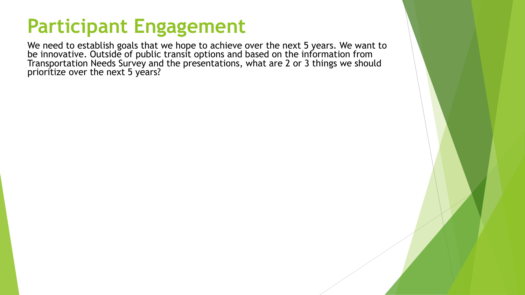### **Participant Engagement**

We need to establish goals that we hope to achieve over the next 5 years. We want to be innovative. Outside of public transit options and based on the information from Transportation Needs Survey and the presentations, what are 2 or 3 things we should prioritize over the next 5 years?